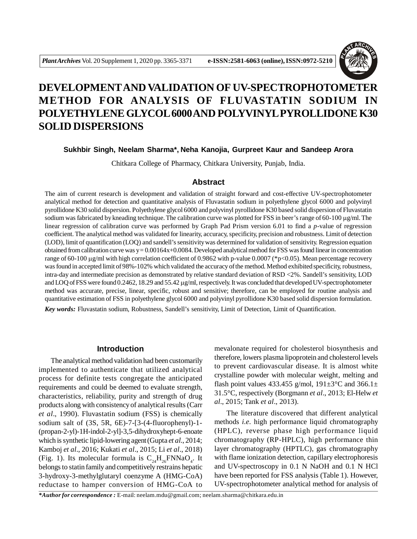

# **DEVELOPMENTAND VALIDATION OF UV-SPECTROPHOTOMETER METHOD FOR ANALYSIS OF FLUVASTATIN SODIUM IN POLYETHYLENE GLYCOL 6000 AND POLYVINYL PYROLLIDONE K30 SOLID DISPERSIONS**

**Sukhbir Singh, Neelam Sharma\*, Neha Kanojia, Gurpreet Kaur and Sandeep Arora**

Chitkara College of Pharmacy, Chitkara University, Punjab, India.

#### **Abstract**

The aim of current research is development and validation of straight forward and cost-effective UV-spectrophotometer analytical method for detection and quantitative analysis of Fluvastatin sodium in polyethylene glycol 6000 and polyvinyl pyrollidone K30 solid dispersion. Polyethylene glycol 6000 and polyvinyl pyrollidone K30 based solid dispersion of Fluvastatin sodium was fabricated by kneading technique. The calibration curve was plotted for FSS in beer's range of 60-100  $\mu$ g/ml. The linear regression of calibration curve was performed by Graph Pad Prism version 6.01 to find a *p*-value of regression coefficient. The analytical method was validated for linearity, accuracy, specificity, precision and robustness. Limit of detection (LOD), limit of quantification (LOQ) and sandell's sensitivity was determined for validation of sensitivity. Regression equation obtained from calibration curve was  $y = 0.00164x+0.0084$ . Developed analytical method for FSS was found linear in concentration range of 60-100  $\mu$ g/ml with high correlation coefficient of 0.9862 with p-value 0.0007 (\*p<0.05). Mean percentage recovery was found in accepted limit of 98%-102% which validated the accuracy of the method. Method exhibited specificity, robustness, intra-day and intermediate precision as demonstrated by relative standard deviation of RSD <2%. Sandell's sensitivity, LOD and LOQ of FSS were found 0.2462, 18.29 and 55.42  $\mu$ g/ml, respectively. It was concluded that developed UV-spectrophotometer method was accurate, precise, linear, specific, robust and sensitive; therefore, can be employed for routine analysis and quantitative estimation of FSS in polyethylene glycol 6000 and polyvinyl pyrollidone K30 based solid dispersion formulation.

*Key words:* Fluvastatin sodium, Robustness, Sandell's sensitivity, Limit of Detection, Limit of Quantification.

#### **Introduction**

The analytical method validation had been customarily implemented to authenticate that utilized analytical process for definite tests congregate the anticipated requirements and could be deemed to evaluate strength, characteristics, reliability, purity and strength of drug products along with consistency of analytical results (Carr *et al*., 1990). Fluvastatin sodium (FSS) is chemically sodium salt of (3S, 5R, 6E)-7-[3-(4-fluorophenyl)-1- (propan-2-yl)-1H-indol-2-yl]-3,5-dihydroxyhept-6-enoate which is synthetic lipid-lowering agent(Gupta *et al*., 2014; Kamboj *et al*., 2016; Kukati *et al*., 2015; Li *et al*., 2018) (Fig. 1). Its molecular formula is  $C_{24}H_{26}FNNaO_4$ . It belongs to statin family and competitively restrains hepatic 3-hydroxy-3-methylglutaryl coenzyme A (HMG-CoA) reductase to hamper conversion of HMG-CoA to mevalonate required for cholesterol biosynthesis and therefore, lowers plasma lipoprotein and cholesterol levels to prevent cardiovascular disease. It is almost white crystalline powder with molecular weight, melting and flash point values 433.455 g/mol,  $191 \pm 3$ °C and 366.1 $\pm$ 31.5°C, respectively (Borgmann *et al*., 2013; El-Helw *et al*., 2015; Tank *et al*., 2013).

The literature discovered that different analytical methods *i.e.* high performance liquid chromatography (HPLC), reverse phase high performance liquid chromatography (RP-HPLC), high performance thin layer chromatography (HPTLC), gas chromatography with flame ionization detection, capillary electrophoresis and UV-spectroscopy in 0.1 N NaOH and 0.1 N HCl have been reported for FSS analysis (Table 1). However, UV-spectrophotometer analytical method for analysis of

*\*Author for correspondence :* E-mail: neelam.mdu@gmail.com; neelam.sharma@chitkara.edu.in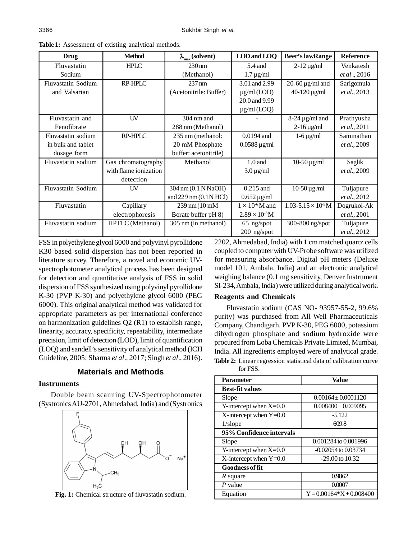| Drug                      | <b>Method</b>         | $\lambda_{\max}$ (solvent)       | LOD and LOO                    | Beer's lawRange                | Reference            |
|---------------------------|-----------------------|----------------------------------|--------------------------------|--------------------------------|----------------------|
| Fluvastatin               | <b>HPLC</b>           | $230 \text{ nm}$                 | 5.4 and                        | $2-12 \mu g/ml$                | Venkatesh            |
| Sodium                    |                       | (Methanol)                       | $1.7 \,\mu g/ml$               |                                | et al., 2016         |
| <b>Fluvastatin Sodium</b> | RP-HPLC               | $237 \text{ nm}$                 | 3.01 and 2.99                  | 20-60 $\mu$ g/ml and           | Sarigomula           |
| and Valsartan             |                       | (Acetonitrile: Buffer)           | $\mu$ g/ml (LOD)               | $40 - 120 \,\mu g/ml$          | et al., 2013         |
|                           |                       |                                  | 20.0 and 9.99                  |                                |                      |
|                           |                       |                                  | $\mu$ g/ml (LOQ)               |                                |                      |
| Fluvastatin and           | UV                    | 304 nm and                       |                                | $8-24 \mu g/ml$ and            | Prathyusha           |
| Fenofibrate               |                       | 288 nm (Methanol)                |                                | $2 - 16 \,\mu g/ml$            | <i>et al.</i> , 2011 |
| Fluvastatin sodium        | RP-HPLC               | 235 nm (methanol:                | $0.0194$ and                   | $1-6 \mu g/ml$                 | Saminathan           |
| in bulk and tablet        |                       | 20 mM Phosphate                  | $0.0588 \,\mathrm{\upmu g/ml}$ |                                | <i>et al.</i> , 2009 |
| dosage form               |                       | buffer: acetonitrile)            |                                |                                |                      |
| Fluvastatin sodium        | Gas chromatography    | Methanol                         | $1.0$ and                      | $10-50 \,\mathrm{\mu g/ml}$    | Saglik               |
|                           | with flame ionization |                                  | $3.0 \,\mathrm{\mu g/ml}$      |                                | <i>et al.</i> , 2009 |
|                           | detection             |                                  |                                |                                |                      |
| Fluvastatin Sodium        | UV                    | 304 nm (0.1 N NaOH)              | $0.215$ and                    | $10-50 \,\mathrm{\mu g/ml}$    | Tuljapure            |
|                           |                       | and $229 \text{ nm}$ (0.1 N HCl) | $0.652 \,\mathrm{\upmu g/ml}$  |                                | et al., 2012         |
| Fluvastatin               | Capillary             | $239 \text{ nm} (10 \text{ mM})$ | $1 \times 10^{-6}$ M and       | $1.03 - 5.15 \times 10^{-5}$ M | Dogrukol-Ak          |
|                           | electrophoresis       | Borate buffer pH 8)              | $2.89 \times 10^{-6}$ M        |                                | <i>et al.</i> , 2001 |
| Fluvastatin sodium        | HPTLC (Methanol)      | 305 nm (in methanol)             | $65$ ng/spot                   | 300-800 ng/spot                | Tuljapure            |
|                           |                       |                                  | 200 ng/spot                    |                                | et al., 2012         |

**Table 1:** Assessment of existing analytical methods.

FSS in polyethylene glycol 6000 and polyvinyl pyrollidone K30 based solid dispersion has not been reported in literature survey. Therefore, a novel and economic UVspectrophotometer analytical process has been designed for detection and quantitative analysis of FSS in solid dispersion of FSS synthesized using polyvinyl pyrollidone K-30 (PVP K-30) and polyethylene glycol 6000 (PEG 6000). This original analytical method was validated for appropriate parameters as per international conference on harmonization guidelines Q2 (R1) to establish range, linearity, accuracy, specificity, repeatability, intermediate precision, limit of detection (LOD), limit of quantification (LOQ) and sandell's sensitivity of analytical method (ICH Guideline, 2005; Sharma *et al*., 2017; Singh *et al*., 2016).

# **Materials and Methods**

#### **Instruments**

Double beam scanning UV-Spectrophotometer (Systronics AU-2701, Ahmedabad, India) and (Systronics



**Fig. 1:** Chemical structure of fluvastatin sodium.

2202, Ahmedabad, India) with 1 cm matched quartz cells coupled to computer with UV-Probe software was utilized for measuring absorbance. Digital pH meters (Deluxe model 101, Ambala, India) and an electronic analytical weighing balance (0.1 mg sensitivity, Denver Instrument SI-234, Ambala, India) were utilized during analytical work.

#### **Reagents and Chemicals**

Fluvastatin sodium (CAS NO- 93957-55-2, 99.6% purity) was purchased from All Well Pharmaceuticals Company, Chandigarh. PVP K-30, PEG 6000, potassium dihydrogen phosphate and sodium hydroxide were procured from Loba Chemicals Private Limited, Mumbai, India. All ingredients employed were of analytical grade. **Table 2:** Linear regression statistical data of calibration curve for FSS.

| Parameter                | Value                      |  |  |  |
|--------------------------|----------------------------|--|--|--|
| <b>Best-fit values</b>   |                            |  |  |  |
| Slope                    | $0.00164 \pm 0.0001120$    |  |  |  |
| Y-intercept when $X=0.0$ | $0.008400 \pm 0.009095$    |  |  |  |
| X-intercept when $Y=0.0$ | $-5.122$                   |  |  |  |
| $1$ /slope               | 609.8                      |  |  |  |
| 95% Confidence intervals |                            |  |  |  |
| Slope                    | 0.001284 to 0.001996       |  |  |  |
| Y-intercept when $X=0.0$ | $-0.02054$ to $0.03734$    |  |  |  |
| X-intercept when $Y=0.0$ | $-29.00$ to $10.32$        |  |  |  |
| <b>Goodness of fit</b>   |                            |  |  |  |
| R square                 | 0.9862                     |  |  |  |
| $P$ value                | 0.0007                     |  |  |  |
| Equation                 | $Y = 0.00164*X + 0.008400$ |  |  |  |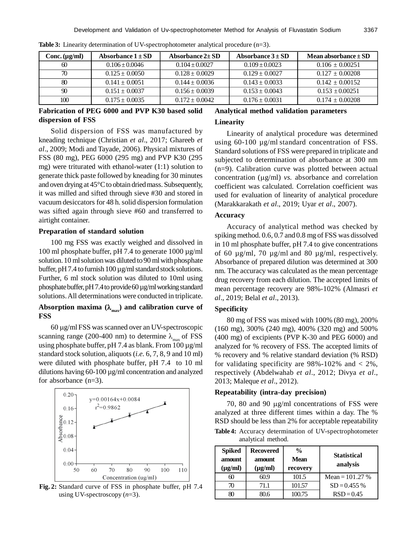| Conc. (µg/ml) | Absorbance $1 \pm SD$ | Absorbance $2\pm SD$ | Absorbance $3 \pm SD$ | Mean absorbance $\pm$ SD |
|---------------|-----------------------|----------------------|-----------------------|--------------------------|
| 60            | $0.106 \pm 0.0046$    | $0.104 \pm 0.0027$   | $0.109 \pm 0.0023$    | $0.106 \pm 0.00251$      |
| 70            | $0.125 \pm 0.0050$    | $0.128 \pm 0.0029$   | $0.129 \pm 0.0027$    | $0.127 \pm 0.00208$      |
| 80            | $0.141 + 0.0051$      | $0.144 \pm 0.0036$   | $0.143 \pm 0.0033$    | $0.142 + 0.00152$        |
| 90            | $0.151 \pm 0.0037$    | $0.156 \pm 0.0039$   | $0.153 \pm 0.0043$    | $0.153 + 0.00251$        |
| 100           | $0.175 \pm 0.0035$    | $0.172 \pm 0.0042$   | $0.176 \pm 0.0031$    | $0.174 \pm 0.00208$      |

**Table 3:** Linearity determination of UV-spectrophotometer analytical procedure (n=3).

# **Fabrication of PEG 6000 and PVP K30 based solid dispersion of FSS**

Solid dispersion of FSS was manufactured by kneading technique (Christian *et al*., 2017; Ghareeb *et al*., 2009; Modi and Tayade, 2006). Physical mixtures of FSS (80 mg), PEG 6000 (295 mg) and PVP K30 (295 mg) were triturated with ethanol-water (1:1) solution to generate thick paste followed by kneading for 30 minutes and oven drying at 45°C to obtain dried mass. Subsequently, it was milled and sifted through sieve #30 and stored in vacuum desiccators for 48 h. solid dispersion formulation was sifted again through sieve #60 and transferred to airtight container.

#### **Preparation of standard solution**

100 mg FSS was exactly weighed and dissolved in 100 ml phosphate buffer, pH 7.4 to generate 1000 µg/ml solution. 10 ml solution was diluted to 90 ml with phosphate buffer, pH 7.4 to furnish  $100 \mu g/ml$  standard stock solutions. Further, 6 ml stock solution was diluted to 10ml using phosphate buffer, pH 7.4 to provide 60 µg/ml working standard solutions. All determinations were conducted in triplicate.

# Absorption maxima  $(\lambda_{\text{max}})$  and calibration curve of **FSS**

 $60 \mu g/ml$  FSS was scanned over an UV-spectroscopic scanning range (200-400 nm) to determine  $\lambda_{\text{max}}$  of FSS using phosphate buffer, pH 7.4 as blank. From 100 µg/ml standard stock solution, aliquots (*i.e.* 6, 7, 8, 9 and 10 ml) were diluted with phosphate buffer, pH 7.4 to 10 ml dilutions having 60-100 µg/ml concentration and analyzed for absorbance (n=3).



**Fig. 2:** Standard curve of FSS in phosphate buffer, pH 7.4 using UV-spectroscopy (*n*=3).

# **Analytical method validation parameters Linearity**

Linearity of analytical procedure was determined using 60-100 µg/ml standard concentration of FSS. Standard solutions of FSS were prepared in triplicate and subjected to determination of absorbance at 300 nm (n=9). Calibration curve was plotted between actual concentration  $(\mu \varrho/m)$  *vs.* absorbance and correlation coefficient was calculated. Correlation coefficient was used for evaluation of linearity of analytical procedure (Marakkarakath *et al*., 2019; Uyar *et al*., 2007).

#### **Accuracy**

Accuracy of analytical method was checked by spiking method. 0.6, 0.7 and 0.8 mg of FSS was dissolved in 10 ml phosphate buffer, pH 7.4 to give concentrations of 60 µg/ml, 70 µg/ml and 80 µg/ml, respectively. Absorbance of prepared dilution was determined at 300 nm. The accuracy was calculated as the mean percentage drug recovery from each dilution. The accepted limits of mean percentage recovery are 98%-102% (Almasri *et al*., 2019; Belal *et al*., 2013).

#### **Specificity**

80 mg of FSS was mixed with 100% (80 mg), 200% (160 mg), 300% (240 mg), 400% (320 mg) and 500% (400 mg) of excipients (PVP K-30 and PEG 6000) and analyzed for % recovery of FSS. The accepted limits of % recovery and % relative standard deviation (% RSD) for validating specificity are  $98\% - 102\%$  and  $\lt 2\%$ , respectively (Abdelwahab *et al*., 2012; Divya *et al*., 2013; Maleque *et al*., 2012).

#### **Repeatability (intra-day precision)**

70, 80 and 90  $\mu$ g/ml concentrations of FSS were analyzed at three different times within a day. The % RSD should be less than 2% for acceptable repeatability **Table 4:** Accuracy determination of UV-spectrophotometer analytical method.

| <b>Spiked</b><br>amount<br>$(\mu g/ml)$ | <b>Recovered</b><br>amount<br>$(\mu g/ml)$ | $\frac{0}{0}$<br><b>Mean</b><br>recovery | <b>Statistical</b><br>analysis |
|-----------------------------------------|--------------------------------------------|------------------------------------------|--------------------------------|
| ഩ                                       | 60.9                                       | 101.5                                    | Mean = $101.27%$               |
| 70                                      | 71.1                                       | 101.57                                   | $SD = 0.455 %$                 |
| 80                                      | 80.6                                       | 100.75                                   | $RSD = 0.45$                   |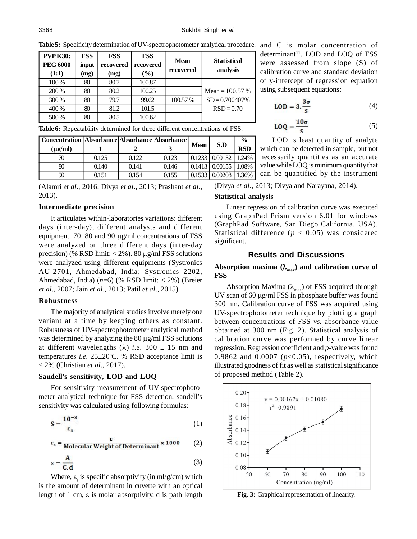| <b>PVP K30:</b><br><b>PEG 6000</b><br>(1:1) | <b>FSS</b><br>input<br>(mg) | <b>FSS</b><br>recovered<br>(mg) | <b>FSS</b><br>recovered<br>$(\%)$ | <b>Mean</b><br>recovered | <b>Statistical</b><br>analysis       |
|---------------------------------------------|-----------------------------|---------------------------------|-----------------------------------|--------------------------|--------------------------------------|
| 100%                                        | 80                          | 80.7                            | 100.87                            |                          |                                      |
| 200 %<br>300 %                              | 80<br>80                    | 80.2<br>79.7                    | 100.25<br>99.62                   | 100.57%                  | Mean = $100.57%$<br>$SD = 0.700407%$ |
| 400 %                                       | 80                          | 81.2                            | 101.5                             |                          | $RSD = 0.70$                         |
| 500 %                                       | 80                          | 80.5                            | 100.62                            |                          |                                      |

Table 5: Specificity determination of UV-spectrophotometer analytical procedure. and C is molar concentration of

**Table 6:** Repeatability determined for three different concentrations of FSS.

| Concentration   Absorbance   Absorbance   Absorbance |       |       |       |             |                                           | $\frac{0}{0}$ |
|------------------------------------------------------|-------|-------|-------|-------------|-------------------------------------------|---------------|
| $(\mu g/ml)$                                         |       |       |       | <b>Mean</b> | S.D                                       | <b>RSD</b>    |
|                                                      | 0.125 | 0.122 | 0.123 |             | $\vert 0.1233 \vert 0.00152 \vert 1.24\%$ |               |
| 80                                                   | 0.140 | 0.141 | 0.146 |             | $\vert 0.1413 \vert 0.00155 \vert 1.08\%$ |               |
| 90                                                   | 0.151 | 0.154 | 0.155 |             | $\mid 0.1533 \mid 0.00208 \mid 1.36\%$    |               |

(Alamri *et al*., 2016; Divya *et al*., 2013; Prashant *et al*., 2013).

# **Intermediate precision**

It articulates within-laboratories variations: different days (inter-day), different analysts and different equipment. 70, 80 and 90  $\mu$ g/ml concentrations of FSS were analyzed on three different days (inter-day precision) (% RSD limit:  $<$  2%). 80  $\mu$ g/ml FSS solutions were analyzed using different equipments (Systronics AU-2701, Ahmedabad, India; Systronics 2202, Ahmedabad, India) (*n*=6) (% RSD limit: < 2%) (Breier *et al*., 2007; Jain *et al*., 2013; Patil *et al*., 2015).

#### **Robustness**

The majority of analytical studies involve merely one variant at a time by keeping others as constant. Robustness of UV-spectrophotometer analytical method was determined by analyzing the  $80 \mu g/ml$  FSS solutions at different wavelengths ( $\lambda$ ) *i.e.* 300  $\pm$  15 nm and temperatures *i.e.*  $25 \pm 20^{\circ}$ C. % RSD acceptance limit is < 2% (Christian *et al*., 2017).

### **Sandell's sensitivity, LOD and LOQ**

For sensitivity measurement of UV-spectrophotometer analytical technique for FSS detection, sandell's sensitivity was calculated using following formulas:

$$
S = \frac{10^{-3}}{\epsilon_s} \tag{1}
$$

$$
\varepsilon_{\rm s} = \frac{\varepsilon}{\text{Molecular Weight of Determinant}} \times 1000 \tag{2}
$$

$$
\varepsilon = \frac{A}{C \cdot d} \tag{3}
$$

Where,  $\varepsilon$ <sub>s</sub> is specific absorptivity (in ml/g/cm) which is the amount of determinant in cuvette with an optical length of 1 cm,  $\varepsilon$  is molar absorptivity, d is path length determinant<sup>11</sup>. LOD and LOQ of FSS were assessed from slope (S) of calibration curve and standard deviation of y-intercept of regression equation using subsequent equations:

$$
LOD = 3.\frac{3\sigma}{s} \tag{4}
$$

$$
LOQ = \frac{10\sigma}{S}
$$
 (5)

LOD is least quantity of analyte which can be detected in sample, but not necessarily quantities as an accurate value while LOQ is minimum quantity that can be quantified by the instrument

(Divya *et al*., 2013; Divya and Narayana, 2014).

#### **Statistical analysis**

Linear regression of calibration curve was executed using GraphPad Prism version 6.01 for windows (GraphPad Software, San Diego California, USA). Statistical difference  $(p < 0.05)$  was considered significant.

## **Results and Discussions**

## Absorption maxima  $(\lambda_{\text{max}})$  and calibration curve of **FSS**

Absorption Maxima ( $\lambda_{\text{max}}$ ) of FSS acquired through UV scan of 60  $\mu$ g/ml FSS in phosphate buffer was found 300 nm. Calibration curve of FSS was acquired using UV-spectrophotometer technique by plotting a graph between concentrations of FSS *vs.* absorbance value obtained at 300 nm (Fig. 2). Statistical analysis of calibration curve was performed by curve linear regression. Regression coefficient and *p*-value was found 0.9862 and 0.0007 (*p*<0.05), respectively, which illustrated goodness of fit as well as statistical significance of proposed method (Table 2).



**Fig. 3:** Graphical representation of linearity.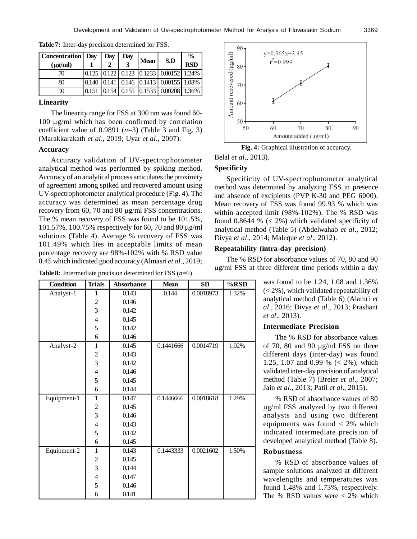| <b>Concentration</b> Day<br>$(\mu g/ml)$ |       | Day | Day | <b>Mean</b> | S.D                                                                                                 | $\frac{6}{9}$<br><b>RSD</b> |
|------------------------------------------|-------|-----|-----|-------------|-----------------------------------------------------------------------------------------------------|-----------------------------|
| 70                                       |       |     |     |             | $\boxed{0.125}$ $\boxed{0.122}$ $\boxed{0.123}$ $\boxed{0.1233}$ $\boxed{0.00152}$ $\boxed{1.24\%}$ |                             |
| 80                                       |       |     |     |             | $\boxed{0.140}$ $\boxed{0.141}$ $\boxed{0.146}$ $\boxed{0.1413}$ $\boxed{0.00155}$ $\boxed{1.08\%}$ |                             |
| 90                                       | 0.151 |     |     |             | $\vert 0.154 \vert 0.155 \vert 0.1533 \vert 0.00208 \vert 1.36\%$                                   |                             |

**Table 7:** Inter-day precision determined for FSS.

#### **Linearity**

The linearity range for FSS at 300 nm was found 60-  $100 \mu g/ml$  which has been confirmed by correlation coefficient value of  $0.9891$  ( $n=3$ ) (Table 3 and Fig. 3) (Marakkarakath *et al*., 2019; Uyar *et al*., 2007).

## **Accuracy**

Accuracy validation of UV-spectrophotometer analytical method was performed by spiking method. Accuracy of an analytical process articulates the proximity of agreement among spiked and recovered amount using UV-spectrophotometer analytical procedure (Fig. 4). The accuracy was determined as mean percentage drug recovery from 60, 70 and 80  $\mu$ g/ml FSS concentrations. The % mean recovery of FSS was found to be 101.5%, 101.57%, 100.75% respectively for 60, 70 and 80  $\mu$ g/ml solutions (Table 4). Average % recovery of FSS was 101.49% which lies in acceptable limits of mean percentage recovery are 98%-102% with % RSD value 0.45 which indicated good accuracy (Almasri *et al*., 2019;

**Table 8:** Intermediate precision determined for FSS (*n*=6).

| <b>Condition</b> | <b>Trials</b>           | <b>Absorbance</b> | <b>Mean</b> | SD                     | %RSD  |
|------------------|-------------------------|-------------------|-------------|------------------------|-------|
| Analyst-1        | 1                       | 0.143             | 0.144       | 0.0018973              | 1.32% |
|                  | $\overline{c}$          | 0.146             |             |                        |       |
|                  | 3                       | 0.142             |             |                        |       |
|                  | $\overline{4}$          | 0.145             |             |                        |       |
|                  | 5                       | 0.142             |             |                        |       |
|                  | 6                       | 0.146             |             |                        |       |
| Analyst-2        | $\mathbf{1}$            | 0.145             | 0.1441666   | 0.0014719              | 1.02% |
|                  | $\overline{c}$          | 0.143             |             |                        |       |
|                  | 3                       | 0.142             |             |                        |       |
|                  | $\overline{4}$          | 0.146             |             |                        |       |
|                  | 5                       | 0.145             |             |                        |       |
|                  | 6                       | 0.144             |             |                        |       |
| Equipment-1      | $\mathbf{1}$            | 0.147             | 0.1446666   | $0.00186\overline{18}$ | 1.29% |
|                  | $\overline{\mathbf{c}}$ | 0.145             |             |                        |       |
|                  | $\overline{3}$          | 0.146             |             |                        |       |
|                  | $\overline{4}$          | 0.143             |             |                        |       |
|                  | 5                       | 0.142             |             |                        |       |
|                  | 6                       | 0.145             |             |                        |       |
| Equipment-2      | $\mathbf{1}$            | 0.143             | 0.1443333   | 0.0021602              | 1.50% |
|                  | $\overline{c}$          | 0.145             |             |                        |       |
|                  | 3                       | 0.144             |             |                        |       |
|                  | $\overline{4}$          | 0.147             |             |                        |       |
|                  | 5                       | 0.146             |             |                        |       |
|                  | 6                       | 0.141             |             |                        |       |



**Fig. 4:** Graphical illustration of accuracy.

Belal *et al*., 2013).

## **Specificity**

Specificity of UV-spectrophotometer analytical method was determined by analyzing FSS in presence and absence of excipients (PVP K-30 and PEG 6000). Mean recovery of FSS was found 99.93 % which was within accepted limit (98%-102%). The % RSD was found 0.8644 %  $(< 2\%)$  which validated specificity of analytical method (Table 5) (Abdelwahab *et al*., 2012; Divya *et al*., 2014; Maleque *et al*., 2012).

#### **Repeatability (intra-day precision)**

The % RSD for absorbance values of 70, 80 and 90  $\mu$ g/ml FSS at three different time periods within a day

> was found to be 1.24, 1.08 and 1.36%  $(< 2\%)$ , which validated repeatability of analytical method (Table 6) (Alamri *et al*., 2016; Divya *et al*., 2013; Prashant *et al*., 2013).

# **Intermediate Precision**

The % RSD for absorbance values of 70, 80 and 90  $\mu$ g/ml FSS on three different days (inter-day) was found 1.25, 1.07 and 0.99 % (< 2%), which validated inter-day precision of analytical method (Table 7) (Breier *et al*., 2007; Jain *et al*., 2013; Patil *et al*., 2015).

% RSD of absorbance values of 80 g/ml FSS analyzed by two different analysts and using two different equipments was found  $\langle 2\% \rangle$  which indicated intermediate precision of developed analytical method (Table 8).

# **Robustness**

% RSD of absorbance values of sample solutions analyzed at different wavelengths and temperatures was found 1.48% and 1.73%, respectively. The % RSD values were  $< 2\%$  which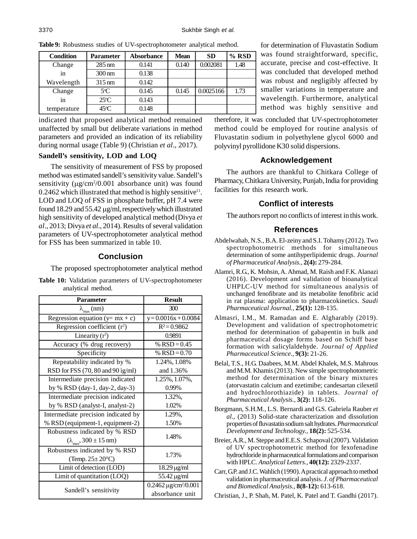| <b>Condition</b> | Parameter           | <b>Absorbance</b> | <b>Mean</b> | <b>SD</b> | $%$ RSD |
|------------------|---------------------|-------------------|-------------|-----------|---------|
| Change           | $285 \text{ nm}$    | 0.141             | 0.140       | 0.002081  | 1.48    |
| 1n               | $300 \,\mathrm{nm}$ | 0.138             |             |           |         |
| Wavelength       | $315 \text{ nm}$    | 0.142             |             |           |         |
| Change           | $5^{\circ}$ C       | 0.145             | 0.145       | 0.0025166 | 1.73    |
| 1n               | $25^{\circ}C$       | 0.143             |             |           |         |
| temperature      | $45^{\circ}$ C      | 0.148             |             |           |         |

**Table 9:** Robustness studies of UV-spectrophotometer analytical method.

indicated that proposed analytical method remained unaffected by small but deliberate variations in method parameters and provided an indication of its reliability during normal usage (Table 9) (Christian *et al*., 2017).

# **Sandell's sensitivity, LOD and LOQ**

The sensitivity of measurement of FSS by proposed method was estimated sandell's sensitivity value. Sandell's sensitivity ( $\mu$ g/cm<sup>2</sup>/0.001 absorbance unit) was found  $0.2462$  which illustrated that method is highly sensitive<sup>11</sup>. LOD and LOQ of FSS in phosphate buffer, pH 7.4 were found  $18.29$  and  $55.42 \mu g/ml$ , respectively which illustrated high sensitivity of developed analytical method (Divya *et al*., 2013; Divya *et al*., 2014). Results of several validation parameters of UV-spectrophotometer analytical method for FSS has been summarized in table 10.

# **Conclusion**

The proposed spectrophotometer analytical method

| <b>Parameter</b>                                  | <b>Result</b>                           |
|---------------------------------------------------|-----------------------------------------|
| $\lambda_{\max}$ (nm)                             | 300                                     |
| Regression equation $(y=mx + c)$                  | $y = 0.0016x + 0.0084$                  |
| Regression coefficient $(r^2)$                    | $R^2 = 0.9862$                          |
| Linearity $(r^2)$                                 | 0.9891                                  |
| Accuracy (% drug recovery)                        | % $RSD = 0.45$                          |
| Specificity                                       | % $RSD = 0.70$                          |
| Repeatability indicated by %                      | 1.24%, 1.08%                            |
| RSD for FSS (70, 80 and 90 ig/ml)                 | and 1.36%                               |
| Intermediate precision indicated                  | 1.25%, 1.07%,                           |
| by % RSD (day-1, day-2, day-3)                    | 0.99%                                   |
| Intermediate precision indicated                  | 1.32%,                                  |
| by % RSD (analyst-I, analyst-2)                   | 1.02%                                   |
| Intermediate precision indicated by               | 1.29%.                                  |
| % RSD (equipment-1, equipment-2)                  | 1.50%                                   |
| Robustness indicated by % RSD                     | 1.48%                                   |
| $(\lambda_{\text{max}}^2, 300 \pm 15 \text{ nm})$ |                                         |
| Robustness indicated by % RSD                     |                                         |
| (Temp. $25 \pm 20^{\circ}$ C)                     | 1.73%                                   |
| Limit of detection (LOD)                          | $18.29 \,\mu g/ml$                      |
| Limit of quantitation (LOQ)                       | 55.42 µg/ml                             |
| Sandell's sensitivity                             | $0.2462 \,\mu$ g/cm <sup>2</sup> /0.001 |
|                                                   | absorbance unit                         |

**Table 10:** Validation parameters of UV-spectrophotometer analytical method.

for determination of Fluvastatin Sodium was found straightforward, specific, accurate, precise and cost-effective. It was concluded that developed method was robust and negligibly affected by smaller variations in temperature and wavelength. Furthermore, analytical method was highly sensitive and

therefore, it was concluded that UV-spectrophotometer method could be employed for routine analysis of Fluvastatin sodium in polyethylene glycol 6000 and polyvinyl pyrollidone K30 solid dispersions.

# **Acknowledgement**

The authors are thankful to Chitkara College of Pharmacy, Chitkara University, Punjab, India for providing facilities for this research work.

# **Conflict of interests**

The authors report no conflicts of interest in this work.

# **References**

- Abdelwahab, N.S., B.A. El-zeiny and S.I. Tohamy (2012). Two spectrophotometric methods for simultaneous determination of some antihyperlipidemic drugs. *Journal of Pharmaceutical Analysis.*, **2(4):** 279-284.
- Alamri, R.G., K. Mohsin, A. Ahmad, M. Raish and F.K. Alanazi (2016). Development and validation of bioanalytical UHPLC-UV method for simultaneous analysis of unchanged fenofibrate and its metabolite fenofibric acid in rat plasma: application to pharmacokinetics. *Saudi Pharmaceutical Journal.*, **25(1):** 128-135.
- Almasri, I.M., M. Ramadan and E. Algharably (2019). Development and validation of spectrophotometric method for determination of gabapentin in bulk and pharmaceutical dosage forms based on Schiff base formation with salicylaldehyde. *Journal of Applied Pharmaceutical Science.*, **9(3):** 21-26.
- Belal, T.S., H.G. Daabees, M.M. Abdel Khalek, M.S. Mahrous and M.M. Khamis (2013). New simple spectrophotometric method for determination of the binary mixtures (atorvastatin calcium and ezetimibe; candesartan cilexetil and hydrochlorothiazide) in tablets. *Journal of Pharmaceutical Analysis.*, **3(2):** 118-126.
- Borgmann, S.H.M., L.S. Bernardi and G.S. Gabriela Rauber *et al*., (2013) Solid-state characterization and dissolution properties of fluvastatin sodium salt hydrates. *Pharmaceutical Development and Technology.*, **18(2):** 525-534.
- Breier, A.R., M. Steppe and E.E.S. Schapoval (2007). Validation of UV spectrophotometric method for fexofenadine hydrochloride in pharmaceutical formulations and comparison with HPLC. *Analytical Letters.*, **40(12):** 2329-2337.
- Carr, G.P. and J.C. Wahlich (1990). A practical approach to method validation in pharmaceutical analysis. *J. of Pharmaceutical and Biomedical Analysis.*, **8(8-12):** 613-618.
- Christian, J., P. Shah, M. Patel, K. Patel and T. Gandhi (2017).